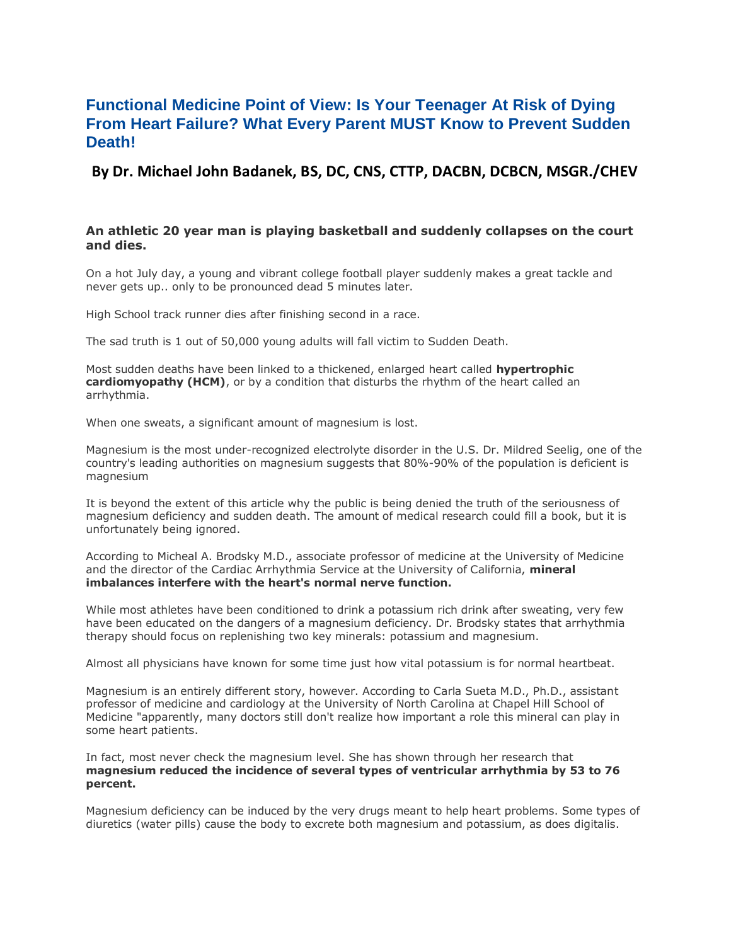# **Functional Medicine Point of View: Is Your Teenager At Risk of Dying From Heart Failure? What Every Parent MUST Know to Prevent Sudden Death!**

**By Dr. Michael John Badanek, BS, DC, CNS, CTTP, DACBN, DCBCN, MSGR./CHEV**

## **An athletic 20 year man is playing basketball and suddenly collapses on the court and dies.**

On a hot July day, a young and vibrant college football player suddenly makes a great tackle and never gets up.. only to be pronounced dead 5 minutes later.

High School track runner dies after finishing second in a race.

The sad truth is 1 out of 50,000 young adults will fall victim to Sudden Death.

Most sudden deaths have been linked to a thickened, enlarged heart called **hypertrophic cardiomyopathy (HCM)**, or by a condition that disturbs the rhythm of the heart called an arrhythmia.

When one sweats, a significant amount of magnesium is lost.

Magnesium is the most under-recognized electrolyte disorder in the U.S. Dr. Mildred Seelig, one of the country's leading authorities on magnesium suggests that 80%-90% of the population is deficient is magnesium

It is beyond the extent of this article why the public is being denied the truth of the seriousness of magnesium deficiency and sudden death. The amount of medical research could fill a book, but it is unfortunately being ignored.

According to Micheal A. Brodsky M.D., associate professor of medicine at the University of Medicine and the director of the Cardiac Arrhythmia Service at the University of California, **mineral imbalances interfere with the heart's normal nerve function.**

While most athletes have been conditioned to drink a potassium rich drink after sweating, very few have been educated on the dangers of a magnesium deficiency. Dr. Brodsky states that arrhythmia therapy should focus on replenishing two key minerals: potassium and magnesium.

Almost all physicians have known for some time just how vital potassium is for normal heartbeat.

Magnesium is an entirely different story, however. According to Carla Sueta M.D., Ph.D., assistant professor of medicine and cardiology at the University of North Carolina at Chapel Hill School of Medicine "apparently, many doctors still don't realize how important a role this mineral can play in some heart patients.

In fact, most never check the magnesium level. She has shown through her research that **magnesium reduced the incidence of several types of ventricular arrhythmia by 53 to 76 percent.**

Magnesium deficiency can be induced by the very drugs meant to help heart problems. Some types of diuretics (water pills) cause the body to excrete both magnesium and potassium, as does digitalis.